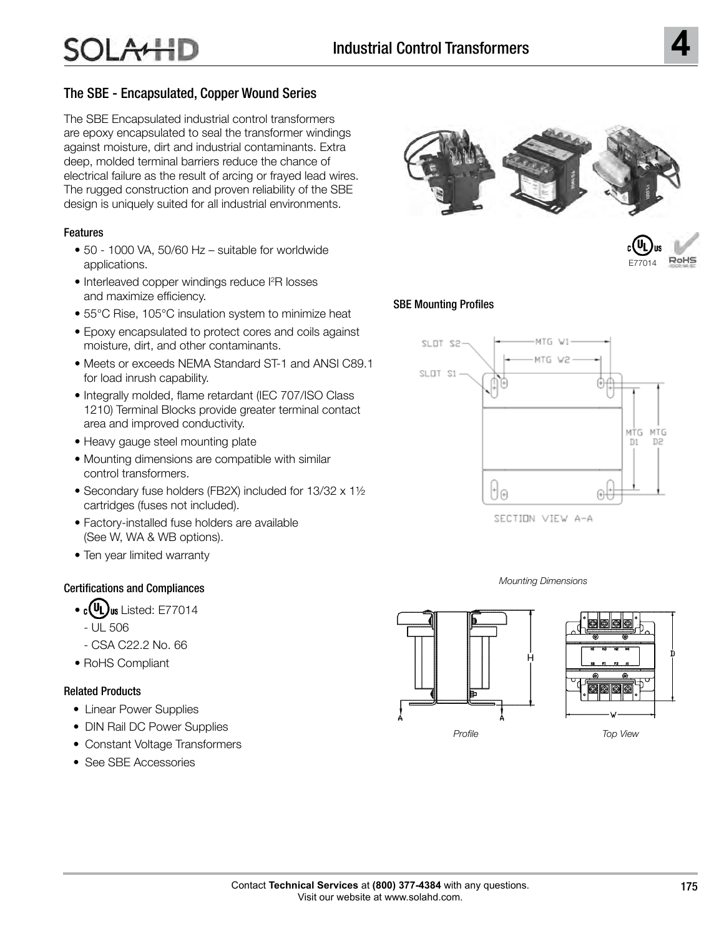## The SBE - Encapsulated, Copper Wound Series

The SBE Encapsulated industrial control transformers are epoxy encapsulated to seal the transformer windings against moisture, dirt and industrial contaminants. Extra deep, molded terminal barriers reduce the chance of electrical failure as the result of arcing or frayed lead wires. The rugged construction and proven reliability of the SBE design is uniquely suited for all industrial environments.

## Features

- 50 1000 VA, 50/60 Hz suitable for worldwide applications.
- Interleaved copper windings reduce I<sup>2</sup>R losses and maximize efficiency.
- 55°C Rise, 105°C insulation system to minimize heat
- Epoxy encapsulated to protect cores and coils against moisture, dirt, and other contaminants.
- Meets or exceeds NEMA Standard ST-1 and ANSI C89.1 for load inrush capability.
- Integrally molded, flame retardant (IEC 707/ISO Class 1210) Terminal Blocks provide greater terminal contact area and improved conductivity.
- Heavy gauge steel mounting plate
- Mounting dimensions are compatible with similar control transformers.
- Secondary fuse holders (FB2X) included for 13/32 x 1½ cartridges (fuses not included).
- Factory-installed fuse holders are available (See W, WA & WB options).
- Ten year limited warranty

## Certifications and Compliances

- $\cdot$  c(UL)<sub>us</sub> Listed: E77014
	- UL 506
	- CSA C22.2 No. 66
- RoHS Compliant

## Related Products

- Linear Power Supplies
- DIN Rail DC Power Supplies
- Constant Voltage Transformers
- See SBE Accessories





## SBE Mounting Profiles



SECTION VIEW A-A





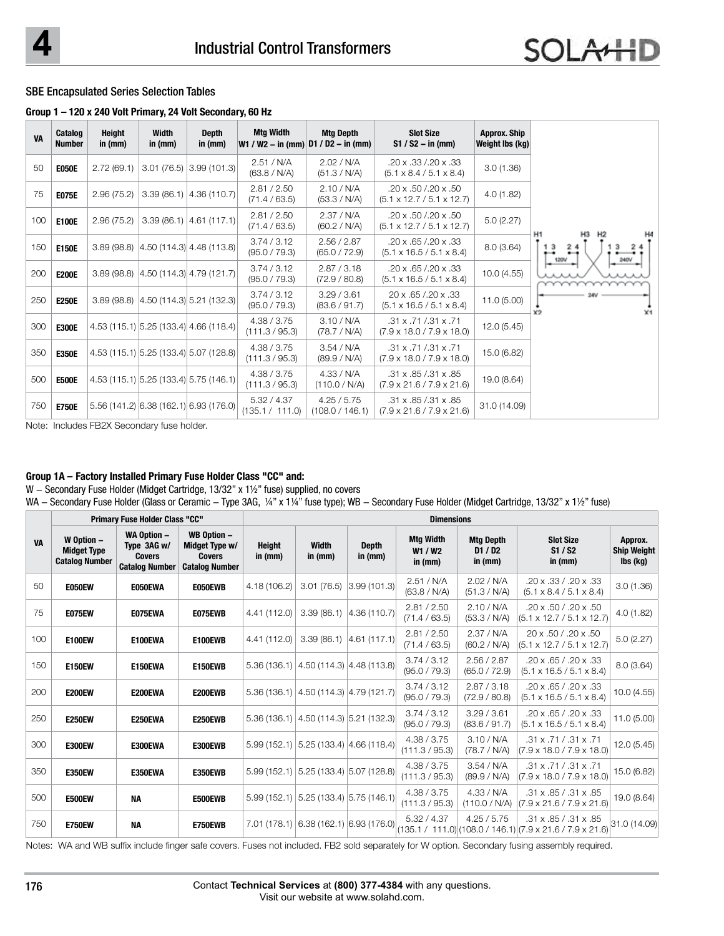#### SBE Encapsulated Series Selection Tables

#### **Group 1 – 120 x 240 Volt Primary, 24 Volt Secondary, 60 Hz**

| <b>VA</b> | Catalog<br><b>Number</b> | Height<br>in (mm) | Width<br>in (mm) | <b>Depth</b><br>in (mm)                 | <b>Mtg Width</b>               | <b>Mtg Depth</b><br>$W1 / W2 - in (mm)$ D1 / D2 - in (mm) | <b>Slot Size</b><br>$S1 / S2 - in (mm)$                                    | <b>Approx. Ship</b><br>Weight lbs (kg) |                                                |
|-----------|--------------------------|-------------------|------------------|-----------------------------------------|--------------------------------|-----------------------------------------------------------|----------------------------------------------------------------------------|----------------------------------------|------------------------------------------------|
| 50        | <b>E050E</b>             | 2.72(69.1)        |                  | $3.01(76.5)$ $3.99(101.3)$              | 2.51 / N/A<br>(63.8 / N/A)     | 2.02 / N/A<br>(51.3 / N/A)                                | .20 x .33 /.20 x .33<br>$(5.1 \times 8.4 / 5.1 \times 8.4)$                | 3.0(1.36)                              |                                                |
| 75        | <b>E075E</b>             | 2.96(75.2)        |                  | $3.39(86.1)$ $ 4.36(110.7)$             | 2.81 / 2.50<br>(71.4 / 63.5)   | 2.10 / N/A<br>(53.3 / N/A)                                | .20 x .50 /.20 x .50<br>$(5.1 \times 12.7 / 5.1 \times 12.7)$              | 4.0(1.82)                              |                                                |
| 100       | <b>E100E</b>             | 2.96(75.2)        |                  | $3.39(86.1)$ 4.61 (117.1)               | 2.81 / 2.50<br>(71.4 / 63.5)   | 2.37 / N/A<br>(60.2 / N/A)                                | .20 x .50 /.20 x .50<br>$(5.1 \times 12.7 / 5.1 \times 12.7)$              | 5.0(2.27)                              |                                                |
| 150       | <b>E150E</b>             |                   |                  | $3.89(98.8)$ $ 4.50(114.3) 4.48(113.8)$ | 3.74 / 3.12<br>(95.0 / 79.3)   | 2.56 / 2.87<br>(65.0 / 72.9)                              | .20 x .65 /.20 x .33<br>$(5.1 \times 16.5 / 5.1 \times 8.4)$               | 8.0(3.64)                              | H <sub>1</sub><br>Н2<br>3<br>24<br><b>120V</b> |
| 200       | <b>E200E</b>             |                   |                  | $3.89(98.8)$ $ 4.50(114.3) 4.79(121.7)$ | 3.74 / 3.12<br>(95.0 / 79.3)   | 2.87 / 3.18<br>(72.9 / 80.8)                              | .20 x .65 /.20 x .33<br>$(5.1 \times 16.5 / 5.1 \times 8.4)$               | 10.0(4.55)                             |                                                |
| 250       | <b>E250E</b>             |                   |                  | 3.89 (98.8) 4.50 (114.3) 5.21 (132.3)   | 3.74 / 3.12<br>(95.0 / 79.3)   | 3.29 / 3.61<br>(83.6 / 91.7)                              | 20 x .65 / .20 x .33<br>$(5.1 \times 16.5 / 5.1 \times 8.4)$               | 11.0(5.00)                             | ¥9<br>X <sub>1</sub>                           |
| 300       | <b>E300E</b>             |                   |                  | 4.53 (115.1) 5.25 (133.4) 4.66 (118.4)  | 4.38 / 3.75<br>(111.3 / 95.3)  | 3.10 / N/A<br>(78.7 / N/A)                                | $.31 \times .71 / .31 \times .71$<br>$(7.9 \times 18.0 / 7.9 \times 18.0)$ | 12.0(5.45)                             |                                                |
| 350       | <b>E350E</b>             |                   |                  | 4.53 (115.1) 5.25 (133.4) 5.07 (128.8)  | 4.38 / 3.75<br>(111.3 / 95.3)  | 3.54 / N/A<br>(89.9 / N/A)                                | .31 x .71 /.31 x .71<br>$(7.9 \times 18.0 / 7.9 \times 18.0)$              | 15.0 (6.82)                            |                                                |
| 500       | <b>E500E</b>             |                   |                  | $4.53(115.1)$ 5.25 (133.4) 5.75 (146.1) | 4.38 / 3.75<br>(111.3 / 95.3)  | 4.33 / N/A<br>(110.0 / N/A)                               | .31 x .85 /.31 x .85<br>$(7.9 \times 21.6 / 7.9 \times 21.6)$              | 19.0 (8.64)                            |                                                |
| 750       | <b>E750E</b>             |                   |                  | $(141.2)$ 6.38 (162.1) 6.93 (176.0)     | 5.32 / 4.37<br>(135.1 / 111.0) | 4.25 / 5.75<br>(108.0 / 146.1)                            | .31 x .85 /.31 x .85<br>$(7.9 \times 21.6 / 7.9 \times 21.6)$              | 31.0 (14.09)                           |                                                |

Note: Includes FB2X Secondary fuse holder.

#### **Group 1A – Factory Installed Primary Fuse Holder Class "CC" and:**

W - Secondary Fuse Holder (Midget Cartridge, 13/32" x 1½" fuse) supplied, no covers

WA - Secondary Fuse Holder (Glass or Ceramic - Type 3AG, 1/4" x 11/4" fuse type); WB - Secondary Fuse Holder (Midget Cartridge, 13/32" x 11/2" fuse)

|           |                                                           | <b>Primary Fuse Holder Class "CC"</b>                                       |                                                                                | <b>Dimensions</b>   |                                           |                              |                                        |                                                                  |                                                                                                |                                           |  |  |
|-----------|-----------------------------------------------------------|-----------------------------------------------------------------------------|--------------------------------------------------------------------------------|---------------------|-------------------------------------------|------------------------------|----------------------------------------|------------------------------------------------------------------|------------------------------------------------------------------------------------------------|-------------------------------------------|--|--|
| <b>VA</b> | W Option -<br><b>Midget Type</b><br><b>Catalog Number</b> | <b>WA Option -</b><br>Type 3AG w/<br><b>Covers</b><br><b>Catalog Number</b> | <b>WB Option -</b><br>Midget Type w/<br><b>Covers</b><br><b>Catalog Number</b> | Height<br>in $(mm)$ | <b>Width</b><br>in (mm)                   | <b>Depth</b><br>in $(mm)$    | <b>Mtg Width</b><br>W1 / W2<br>in (mm) | <b>Mtg Depth</b><br>D <sub>1</sub> / D <sub>2</sub><br>in $(mm)$ | <b>Slot Size</b><br>S1 / S2<br>in $(mm)$                                                       | Approx.<br><b>Ship Weight</b><br>lbs (kg) |  |  |
| 50        | <b>E050EW</b>                                             | E050EWA                                                                     | E050EWB                                                                        | 4.18 (106.2)        | 3.01(76.5)                                | 3.99(101.3)                  | 2.51 / N/A<br>(63.8 / N/A)             | 2.02 / N/A<br>(51.3 / N/A)                                       | .20 x .33 / .20 x .33<br>$(5.1 \times 8.4 / 5.1 \times 8.4)$                                   | 3.0(1.36)                                 |  |  |
| 75        | <b>E075EW</b>                                             | E075EWA                                                                     | E075EWB                                                                        | 4.41(112.0)         |                                           | $3.39(86.1)$ $ 4.36(110.7) $ | 2.81 / 2.50<br>(71.4 / 63.5)           | 2.10 / N/A<br>(53.3 / N/A)                                       | .20 x .50 / .20 x .50<br>$(5.1 \times 12.7 / 5.1 \times 12.7)$                                 | 4.0(1.82)                                 |  |  |
| 100       | <b>E100EW</b>                                             | E100EWA                                                                     | E100EWB                                                                        | 4.41(112.0)         |                                           | $3.39(86.1)$ 4.61 (117.1)    | 2.81 / 2.50<br>(71.4 / 63.5)           | 2.37 / N/A<br>(60.2 / N/A)                                       | 20 x .50 / .20 x .50<br>$(5.1 \times 12.7 / 5.1 \times 12.7)$                                  | 5.0(2.27)                                 |  |  |
| 150       | <b>E150EW</b>                                             | E150EWA                                                                     | E150EWB                                                                        |                     | $5.36(136.1)$ $ 4.50(114.3) 4.48(113.8)$  |                              | 3.74 / 3.12<br>(95.0 / 79.3)           | 2.56 / 2.87<br>(65.0 / 72.9)                                     | $.20 \times .65 / .20 \times .33$<br>$(5.1 \times 16.5 / 5.1 \times 8.4)$                      | 8.0(3.64)                                 |  |  |
| 200       | <b>E200EW</b>                                             | E200EWA                                                                     | E200EWB                                                                        |                     | $5.36(136.1)$ 4.50 (114.3) 4.79 (121.7)   |                              | 3.74 / 3.12<br>(95.0 / 79.3)           | 2.87 / 3.18<br>(72.9 / 80.8)                                     | .20 x .65 / .20 x .33<br>$(5.1 \times 16.5 / 5.1 \times 8.4)$                                  | 10.0(4.55)                                |  |  |
| 250       | <b>E250EW</b>                                             | E250EWA                                                                     | E250EWB                                                                        |                     | 5.36 (136.1) 4.50 (114.3) 5.21 (132.3)    |                              | 3.74 / 3.12<br>(95.0 / 79.3)           | 3.29 / 3.61<br>(83.6 / 91.7)                                     | $.20 \times .65 / .20 \times .33$<br>$(5.1 \times 16.5 / 5.1 \times 8.4)$                      | 11.0(5.00)                                |  |  |
| 300       | <b>E300EW</b>                                             | E300EWA                                                                     | E300EWB                                                                        |                     | $5.99(152.1)$ $5.25(133.4)$ $4.66(118.4)$ |                              | 4.38 / 3.75<br>(111.3 / 95.3)          | 3.10 / N/A<br>(78.7 / N/A)                                       | $.31 \times .71 / .31 \times .71$<br>$(7.9 \times 18.0 / 7.9 \times 18.0)$                     | 12.0(5.45)                                |  |  |
| 350       | <b>E350EW</b>                                             | E350EWA                                                                     | E350EWB                                                                        |                     | $5.99(152.1)$ $5.25(133.4)$ $5.07(128.8)$ |                              | 4.38 / 3.75<br>(111.3 / 95.3)          | 3.54 / N/A<br>(89.9 / N/A)                                       | $.31 \times .71 / .31 \times .71$<br>$(7.9 \times 18.0 / 7.9 \times 18.0)$                     | 15.0 (6.82)                               |  |  |
| 500       | <b>E500EW</b>                                             | <b>NA</b>                                                                   | E500EWB                                                                        |                     | $5.99(152.1)$ $5.25(133.4)$ $5.75(146.1)$ |                              | 4.38 / 3.75<br>(111.3 / 95.3)          | 4.33 / N/A<br>(110.0 / N/A)                                      | $.31 \times .85 / .31 \times .85$<br>$(7.9 \times 21.6 / 7.9 \times 21.6)$                     | 19.0 (8.64)                               |  |  |
| 750       | <b>E750EW</b>                                             | <b>NA</b>                                                                   | E750EWB                                                                        |                     | 7.01 (178.1) 6.38 (162.1) 6.93 (176.0)    |                              | 5.32 / 4.37                            | 4.25 / 5.75                                                      | .31 x .85 / .31 x .85<br>$(135.1 / 111.0) (108.0 / 146.1) (7.9 \times 21.6 / 7.9 \times 21.6)$ | 31.0 (14.09)                              |  |  |

Notes: WA and WB suffix include finger safe covers. Fuses not included. FB2 sold separately for W option. Secondary fusing assembly required.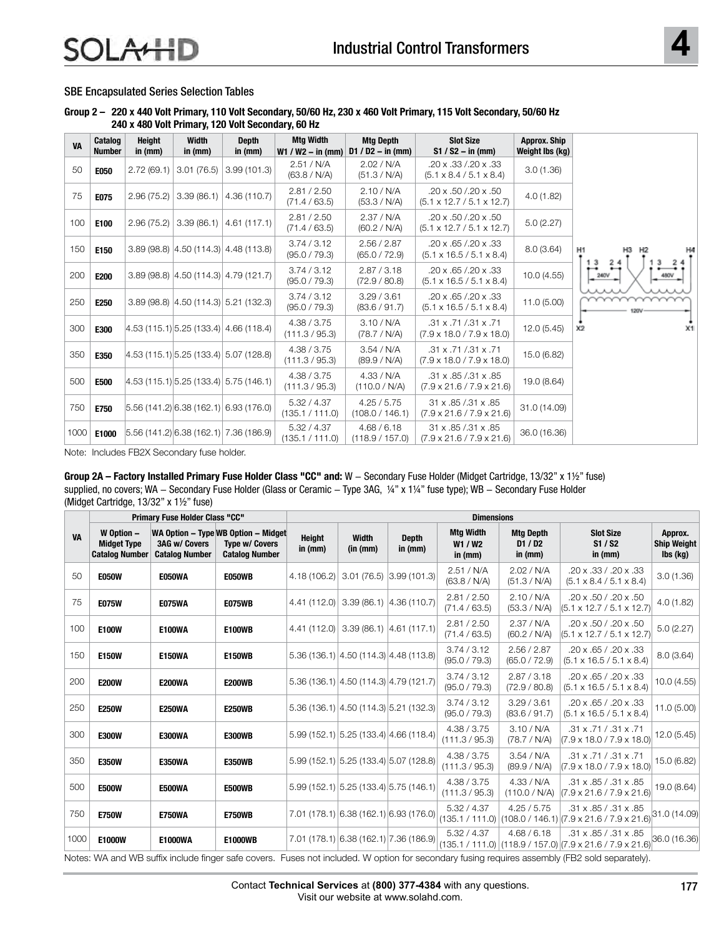## SBE Encapsulated Series Selection Tables

#### **Group 2 – 220 x 440 Volt Primary, 110 Volt Secondary, 50/60 Hz, 230 x 460 Volt Primary, 115 Volt Secondary, 50/60 Hz 240 x 480 Volt Primary, 120 Volt Secondary, 60 Hz**

| <b>VA</b> | Catalog<br><b>Number</b> | <b>Height</b><br>in $(mm)$ | Width<br>in $(mm)$ | <b>Depth</b><br>in $(mm)$                 | <b>Mtg Width</b><br>$W1 / W2 - in (mm)$ | <b>Mtg Depth</b><br>$D1 / D2 - in (mm)$ | <b>Slot Size</b><br>$S1 / S2 - in (mm)$                                       | <b>Approx. Ship</b><br>Weight lbs (kg) |                      |
|-----------|--------------------------|----------------------------|--------------------|-------------------------------------------|-----------------------------------------|-----------------------------------------|-------------------------------------------------------------------------------|----------------------------------------|----------------------|
| 50        | <b>E050</b>              | 2.72(69.1)                 | 3.01(76.5)         | 3.99(101.3)                               | 2.51 / N/A<br>(63.8 / N/A)              | 2.02 / N/A<br>(51.3 / N/A)              | .20 x .33 /.20 x .33<br>$(5.1 \times 8.4 / 5.1 \times 8.4)$                   | 3.0(1.36)                              |                      |
| 75        | E075                     | 2.96(75.2)                 | 3.39(86.1)         | 4.36 (110.7)                              | 2.81 / 2.50<br>(71.4 / 63.5)            | 2.10 / N/A<br>(53.3 / N/A)              | .20 x .50 /.20 x .50<br>$(5.1 \times 12.7 / 5.1 \times 12.7)$                 | 4.0 (1.82)                             |                      |
| 100       | E100                     | 2.96(75.2)                 | 3.39(86.1)         | 4.61(117.1)                               | 2.81 / 2.50<br>(71.4 / 63.5)            | 2.37 / N/A<br>(60.2 / N/A)              | $.20 \times 0.50 / 0.20 \times 0.50$<br>$(5.1 \times 12.7 / 5.1 \times 12.7)$ | 5.0(2.27)                              |                      |
| 150       | E150                     |                            |                    | $3.89(98.8)$ $ 4.50(114.3) $ 4.48 (113.8) | 3.74 / 3.12<br>(95.0 / 79.3)            | 2.56 / 2.87<br>(65.0 / 72.9)            | $.20 \times 0.65 / 0.20 \times 0.33$<br>$(5.1 \times 16.5 / 5.1 \times 8.4)$  | 8.0(3.64)                              | H1<br>H2             |
| 200       | E200                     |                            |                    | $3.89(98.8)$ $ 4.50(114.3) $ 4.79 (121.7) | 3.74 / 3.12<br>(95.0 / 79.3)            | 2.87 / 3.18<br>(72.9 / 80.8)            | .20 x .65 /.20 x .33<br>$(5.1 \times 16.5 / 5.1 \times 8.4)$                  | 10.0(4.55)                             | 3<br>240V            |
| 250       | E250                     |                            |                    | $3.89(98.8)$ $ 4.50(114.3) $ 5.21 (132.3) | 3.74 / 3.12<br>(95.0 / 79.3)            | 3.29 / 3.61<br>(83.6 / 91.7)            | .20 x .65 /.20 x .33<br>$(5.1 \times 16.5 / 5.1 \times 8.4)$                  | 11.0 (5.00)                            |                      |
| 300       | <b>E300</b>              |                            |                    | 4.53(115.1) 5.25(133.4) 4.66(118.4)       | 4.38 / 3.75<br>(111.3 / 95.3)           | 3.10 / N/A<br>(78.7 / N/A)              | $.31 \times .71 / .31 \times .71$<br>$(7.9 \times 18.0 / 7.9 \times 18.0)$    | 12.0(5.45)                             | X1<br>x <sub>2</sub> |
| 350       | E350                     |                            |                    | 4.53(115.1) 5.25(133.4) 5.07(128.8)       | 4.38 / 3.75<br>(111.3 / 95.3)           | 3.54 / N/A<br>(89.9 / N/A)              | $.31 \times .71 / .31 \times .71$<br>$(7.9 \times 18.0 / 7.9 \times 18.0)$    | 15.0 (6.82)                            |                      |
| 500       | E500                     |                            |                    | 4.53(115.1) 5.25(133.4) 5.75(146.1)       | 4.38 / 3.75<br>(111.3 / 95.3)           | 4.33 / N/A<br>(110.0 / N/A)             | .31 x .85 /.31 x .85<br>$(7.9 \times 21.6 / 7.9 \times 21.6)$                 | 19.0 (8.64)                            |                      |
| 750       | <b>E750</b>              |                            |                    | 5.56(141.2) 6.38(162.1) 6.93(176.0)       | 5.32 / 4.37<br>(135.1 / 111.0)          | 4.25 / 5.75<br>(108.0 / 146.1)          | 31 x .85 / .31 x .85<br>$(7.9 \times 21.6 / 7.9 \times 21.6)$                 | 31.0 (14.09)                           |                      |
| 1000      | E1000                    |                            |                    | 5.56(141.2) 6.38(162.1) 7.36(186.9)       | 5.32 / 4.37<br>(135.1 / 111.0)          | 4.68 / 6.18<br>(118.9 / 157.0)          | 31 x .85 / .31 x .85<br>$(7.9 \times 21.6 / 7.9 \times 21.6)$                 | 36.0 (16.36)                           |                      |

Note: Includes FB2X Secondary fuse holder.

**Group 2A – Factory Installed Primary Fuse Holder Class "CC" and:** W - Secondary Fuse Holder (Midget Cartridge, 13/32" x 1½" fuse) supplied, no covers; WA - Secondary Fuse Holder (Glass or Ceramic - Type 3AG, ¼" x 1¼" fuse type); WB - Secondary Fuse Holder (Midget Cartridge, 13/32" x 1½" fuse)

|           |                                                           | Primary Fuse Holder Class "CC"                |                                                                                       |                            |                           |                                           | <b>Dimensions</b>                        |                                        |                                                                                                    |                                           |
|-----------|-----------------------------------------------------------|-----------------------------------------------|---------------------------------------------------------------------------------------|----------------------------|---------------------------|-------------------------------------------|------------------------------------------|----------------------------------------|----------------------------------------------------------------------------------------------------|-------------------------------------------|
| <b>VA</b> | W Option -<br><b>Midget Type</b><br><b>Catalog Number</b> | <b>3AG w/ Covers</b><br><b>Catalog Number</b> | WA Option - Type WB Option - Midget<br><b>Type w/ Covers</b><br><b>Catalog Number</b> | <b>Height</b><br>in $(mm)$ | <b>Width</b><br>(in (mm)) | <b>Depth</b><br>in (mm)                   | <b>Mtg Width</b><br>W1 / W2<br>in $(mm)$ | <b>Mtg Depth</b><br>D1/D2<br>in $(mm)$ | <b>Slot Size</b><br>S1 / S2<br>in $(mm)$                                                           | Approx.<br><b>Ship Weight</b><br>lbs (kg) |
| 50        | <b>E050W</b>                                              | E050WA                                        | <b>E050WB</b>                                                                         | 4.18(106.2)                |                           | $3.01(76.5)$ 3.99 (101.3)                 | 2.51 / N/A<br>(63.8 / N/A)               | 2.02 / N/A<br>(51.3 / N/A)             | .20 x .33 / .20 x .33<br>$(5.1 \times 8.4 / 5.1 \times 8.4)$                                       | 3.0(1.36)                                 |
| 75        | <b>E075W</b>                                              | <b>E075WA</b>                                 | <b>E075WB</b>                                                                         |                            |                           | 4.41 (112.0) 3.39 (86.1) 4.36 (110.7)     | 2.81 / 2.50<br>(71.4 / 63.5)             | 2.10 / N/A<br>(53.3 / N/A)             | .20 x .50 / .20 x .50<br>$(5.1 \times 12.7 / 5.1 \times 12.7)$                                     | 4.0(1.82)                                 |
| 100       | <b>E100W</b>                                              | <b>E100WA</b>                                 | <b>E100WB</b>                                                                         |                            |                           | $4.41(112.0)$ 3.39 (86.1) 4.61 (117.1)    | 2.81 / 2.50<br>(71.4 / 63.5)             | 2.37 / N/A<br>(60.2 / N/A)             | .20 x .50 / .20 x .50<br>$(5.1 \times 12.7 / 5.1 \times 12.7)$                                     | 5.0(2.27)                                 |
| 150       | <b>E150W</b>                                              | <b>E150WA</b>                                 | <b>E150WB</b>                                                                         |                            |                           | $5.36(136.1)$ 4.50 (114.3) 4.48 (113.8)   | 3.74 / 3.12<br>(95.0 / 79.3)             | 2.56 / 2.87<br>(65.0 / 72.9)           | .20 x .65 / .20 x .33<br>$(5.1 \times 16.5 / 5.1 \times 8.4)$                                      | 8.0 (3.64)                                |
| 200       | <b>E200W</b>                                              | <b>E200WA</b>                                 | <b>E200WB</b>                                                                         |                            |                           | 5.36 (136.1) 4.50 (114.3) 4.79 (121.7)    | 3.74 / 3.12<br>(95.0 / 79.3)             | 2.87 / 3.18<br>(72.9 / 80.8)           | $.20 \times .65 / .20 \times .33$<br>$(5.1 \times 16.5 / 5.1 \times 8.4)$                          | 10.0(4.55)                                |
| 250       | <b>E250W</b>                                              | <b>E250WA</b>                                 | <b>E250WB</b>                                                                         |                            |                           | 5.36 (136.1) 4.50 (114.3) 5.21 (132.3)    | 3.74 / 3.12<br>(95.0 / 79.3)             | 3.29 / 3.61<br>(83.6 / 91.7)           | $.20 \times .65 / .20 \times .33$<br>$(5.1 \times 16.5 / 5.1 \times 8.4)$                          | 11.0 (5.00)                               |
| 300       | <b>E300W</b>                                              | <b>E300WA</b>                                 | <b>E300WB</b>                                                                         |                            |                           | $5.99(152.1)$ $5.25(133.4)$ 4.66 (118.4)  | 4.38 / 3.75<br>(111.3 / 95.3)            | 3.10 / N/A<br>(78.7 / N/A)             | .31 x .71 / .31 x .71<br>$(7.9 \times 18.0 / 7.9 \times 18.0)$                                     | 12.0(5.45)                                |
| 350       | <b>E350W</b>                                              | <b>E350WA</b>                                 | <b>E350WB</b>                                                                         |                            |                           | 5.99 (152.1) 5.25 (133.4) 5.07 (128.8)    | 4.38 / 3.75<br>(111.3 / 95.3)            | 3.54 / N/A<br>(89.9 / N/A)             | .31 x .71 / .31 x .71<br>$(7.9 \times 18.0 / 7.9 \times 18.0)$                                     | 15.0 (6.82)                               |
| 500       | <b>E500W</b>                                              | <b>E500WA</b>                                 | <b>E500WB</b>                                                                         |                            |                           | $5.99(152.1)$ $5.25(133.4)$ $5.75(146.1)$ | 4.38 / 3.75<br>(111.3 / 95.3)            | 4.33 / N/A<br>(110.0 / N/A)            | .31 x .85 / .31 x .85<br>$(7.9 \times 21.6 / 7.9 \times 21.6)$                                     | 19.0 (8.64)                               |
| 750       | <b>E750W</b>                                              | <b>E750WA</b>                                 | <b>E750WB</b>                                                                         |                            |                           | 7.01 (178.1) 6.38 (162.1) 6.93 (176.0)    | 5.32 / 4.37                              | 4.25 / 5.75                            | .31 x .85 / .31 x .85<br>(135.1 / 111.0)   (108.0 / 146.1)   (7.9 x 21.6 / 7.9 x 21.6)             | 31.0(14.09)                               |
| 1000      | E1000W                                                    | <b>E1000WA</b>                                | <b>E1000WB</b>                                                                        |                            |                           | 7.01 (178.1) 6.38 (162.1) 7.36 (186.9)    | 5.32 / 4.37                              | 4.68 / 6.18                            | .31 x .85 / .31 x .85<br>$(135.1 / 111.0)   (118.9 / 157.0)   (7.9 \times 21.6 / 7.9 \times 21.6)$ | 36.0 (16.36)                              |

finger safe covers. Fuses not included. W option for secondary fusing requires assembly (FB2 sold separately).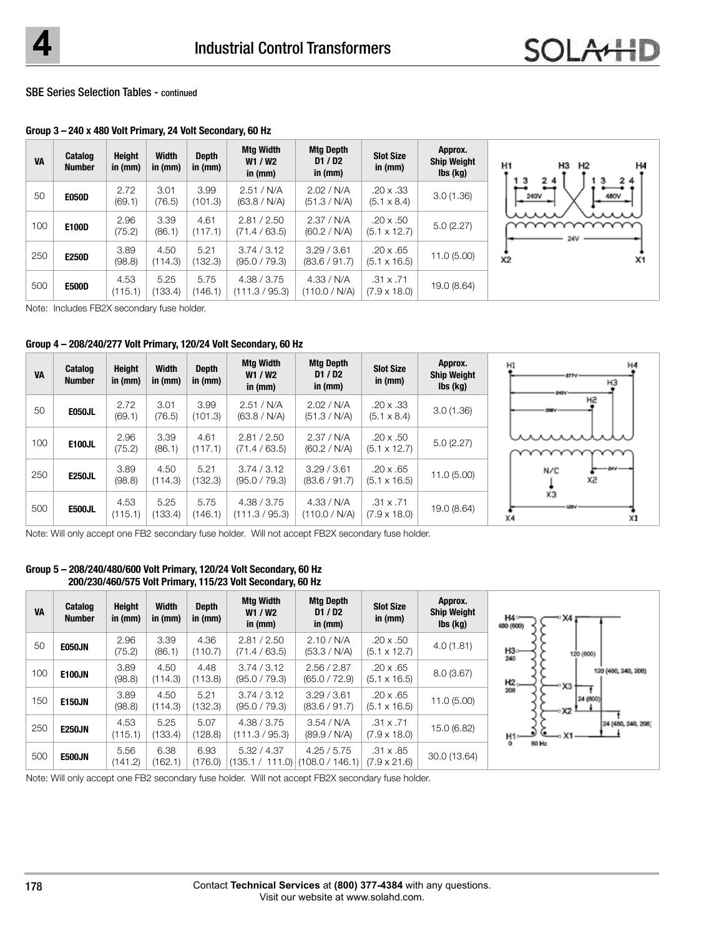### SBE Series Selection Tables - continued

**Group 3 – 240 x 480 Volt Primary, 24 Volt Secondary, 60 Hz**

| <b>VA</b> | <b>Catalog</b><br><b>Number</b> | <b>Height</b><br>in $(mm)$ | <b>Width</b><br>in (mm) | <b>Depth</b><br>in (mm) | Mtg Width<br>W1 / W2<br>in (mm) | Mtg Depth<br>D1/D2<br>in $(mm)$ | <b>Slot Size</b><br>in $(mm)$           | Approx.<br><b>Ship Weight</b><br>lbs (kg) | H3<br>H1<br>Н2<br>H4<br>24<br>13<br>24   |
|-----------|---------------------------------|----------------------------|-------------------------|-------------------------|---------------------------------|---------------------------------|-----------------------------------------|-------------------------------------------|------------------------------------------|
| 50        | <b>E050D</b>                    | 2.72<br>(69.1)             | 3.01<br>(76.5)          | 3.99<br>(101.3)         | 2.51 / N/A<br>(63.8 / N/A)      | 2.02 / N/A<br>(51.3 / N/A)      | $.20 \times .33$<br>$(5.1 \times 8.4)$  | 3.0(1.36)                                 | $\overline{\phantom{a}}$<br>480V<br>240V |
| 100       | E100D                           | 2.96<br>(75.2)             | 3.39<br>(86.1)          | 4.61<br>(117.1)         | 2.81 / 2.50<br>(71.4 / 63.5)    | 2.37 / N/A<br>(60.2 / N/A)      | $.20 \times .50$<br>$(5.1 \times 12.7)$ | 5.0(2.27)                                 | wu<br>24V                                |
| 250       | <b>E250D</b>                    | 3.89<br>(98.8)             | 4.50<br>(114.3)         | 5.21<br>(132.3)         | 3.74 / 3.12<br>(95.0 / 79.3)    | 3.29/3.61<br>(83.6 / 91.7)      | $.20 \times .65$<br>$(5.1 \times 16.5)$ | 11.0(5.00)                                | X <sub>2</sub><br>X <sub>1</sub>         |
| 500       | <b>E500D</b>                    | 4.53<br>(115.1)            | 5.25<br>(133.4)         | 5.75<br>(146.1)         | 4.38 / 3.75<br>(111.3 / 95.3)   | 4.33 / N/A<br>(110.0 / N/A)     | $.31 \times .71$<br>$(7.9 \times 18.0)$ | 19.0 (8.64)                               |                                          |

Note: Includes FB2X secondary fuse holder.

#### **Group 4 – 208/240/277 Volt Primary, 120/24 Volt Secondary, 60 Hz**

| <b>VA</b> | <b>Catalog</b><br><b>Number</b> | Height<br>in $(mm)$ | <b>Width</b><br>in $(mm)$ | <b>Depth</b><br>in (mm) | Mtg Width<br>W1 / W2<br>in $(mm)$ | <b>Mtg Depth</b><br>D1/D2<br>in $(mm)$ | <b>Slot Size</b><br>in $(mm)$           | Approx.<br><b>Ship Weight</b><br>$\mathsf{lbs}(\mathsf{k}\mathsf{g})$ |
|-----------|---------------------------------|---------------------|---------------------------|-------------------------|-----------------------------------|----------------------------------------|-----------------------------------------|-----------------------------------------------------------------------|
|           | <b>E050JL</b>                   | 2.72<br>(69.1)      | 3.01<br>(76.5)            | 3.99<br>(101.3)         | 2.51 / N/A<br>(63.8 / N/A)        | 2.02 / N/A<br>(51.3 / N/A)             | $.20 \times .33$<br>$(5.1 \times 8.4)$  | 3.0(1.36)                                                             |
| 100       | <b>E100JL</b>                   | 2.96<br>(75.2)      | 3.39<br>(86.1)            | 4.61<br>(117.1)         | 2.81 / 2.50<br>(71.4 / 63.5)      | 2.37 / N/A<br>(60.2 / N/A)             | $.20 \times .50$<br>$(5.1 \times 12.7)$ | 5.0(2.27)                                                             |
|           | <b>E250JL</b>                   | 3.89<br>(98.8)      | 4.50<br>(114.3)           | 5.21<br>(132.3)         | 3.74 / 3.12<br>(95.0 / 79.3)      | 3.29/3.61<br>(83.6 / 91.7)             | $.20 \times .65$<br>$(5.1 \times 16.5)$ | 11.0(5.00)                                                            |
|           | <b>E500JL</b>                   | 4.53<br>(115.1)     | 5.25<br>(133.4)           | 5.75<br>(146.1)         | 4.38 / 3.75<br>(111.3 / 95.3)     | 4.33 / N/A<br>(110.0 / N/A)            | $.31 \times .71$<br>$(7.9 \times 18.0)$ | 19.0 (8.64)                                                           |

Note: Will only accept one FB2 secondary fuse holder. Will not accept FB2X secondary fuse holder.

#### **Group 5 – 208/240/480/600 Volt Primary, 120/24 Volt Secondary, 60 Hz 200/230/460/575 Volt Primary, 115/23 Volt Secondary, 60 Hz**

| <b>VA</b> | Catalog<br><b>Number</b> | Height<br>in $(mm)$ | <b>Width</b><br>in (mm) | <b>Depth</b><br>in (mm) | <b>Mtg Width</b><br>W1/W2<br>in $(mm)$ | <b>Mtg Depth</b><br>D1/D2<br>in (mm) | <b>Slot Size</b><br>in $(mm)$           | Approx.<br><b>Ship Weight</b><br>lbs (kg) | H4°<br>X4<br>480 (600)                      |
|-----------|--------------------------|---------------------|-------------------------|-------------------------|----------------------------------------|--------------------------------------|-----------------------------------------|-------------------------------------------|---------------------------------------------|
| 50        | <b>E050JN</b>            | 2.96<br>(75.2)      | 3.39<br>(86.1)          | 4.36<br>(110.7)         | 2.81 / 2.50<br>(71.4 / 63.5)           | 2.10 / N/A<br>(53.3 / N/A)           | $.20 \times .50$<br>$(5.1 \times 12.7)$ | 4.0(1.81)                                 | H3----<br>240<br>120 (600)                  |
| 100       | <b>E100JN</b>            | 3.89<br>(98.8)      | 4.50<br>(114.3)         | 4.48<br>(113.8)         | 3.74 / 3.12<br>(95.0 / 79.3)           | 2.56 / 2.87<br>(65.0 / 72.9)         | $.20 \times .65$<br>$(5.1 \times 16.5)$ | 8.0(3.67)                                 | 120 (480, 240, 208)<br>$^{+12}_{208}$<br>X3 |
| 150       | <b>E150JN</b>            | 3.89<br>(98.8)      | 4.50<br>(114.3)         | 5.21<br>(132.3)         | 3.74 / 3.12<br>(95.0 / 79.3)           | 3.29/3.61<br>(83.6 / 91.7)           | $.20 \times .65$<br>$(5.1 \times 16.5)$ | 11.0(5.00)                                | 24 (600)<br>∘X2 -                           |
| 250       | <b>E250JN</b>            | 4.53<br>(115.1)     | 5.25<br>(133.4)         | 5.07<br>(128.8)         | 4.38 / 3.75<br>(111.3 / 95.3)          | 3.54 / N/A<br>(89.9 / N/A)           | $.31 \times .71$<br>$(7.9 \times 18.0)$ | 15.0 (6.82)                               | 24 (480, 240, 208)<br>н1⊶<br>$^{\circ}$     |
| 500       | <b>E500JN</b>            | 5.56<br>(141.2)     | 6.38<br>(162.1)         | 6.93<br>(176.0)         | 5.32 / 4.37<br>(135.1 / 111.0)         | 4.25 / 5.75<br>(108.0 / 146.1)       | $.31 \times .85$<br>$(7.9 \times 21.6)$ | 30.0 (13.64)                              | 80 Hz                                       |

Note: Will only accept one FB2 secondary fuse holder. Will not accept FB2X secondary fuse holder.